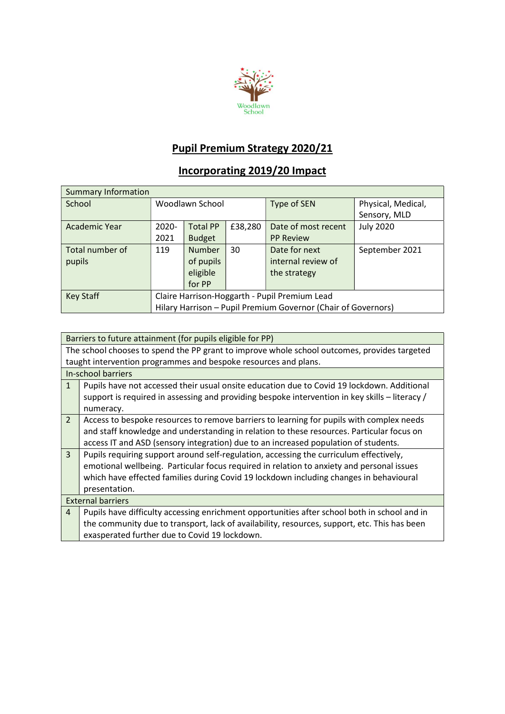

## Pupil Premium Strategy 2020/21

## Incorporating 2019/20 Impact

| <b>Summary Information</b> |                                                               |                 |             |                     |                  |
|----------------------------|---------------------------------------------------------------|-----------------|-------------|---------------------|------------------|
| School                     | Woodlawn School                                               |                 | Type of SEN | Physical, Medical,  |                  |
|                            |                                                               |                 |             | Sensory, MLD        |                  |
| Academic Year              | $2020 -$                                                      | <b>Total PP</b> | £38,280     | Date of most recent | <b>July 2020</b> |
|                            | 2021                                                          | <b>Budget</b>   |             | <b>PP Review</b>    |                  |
| Total number of            | 119                                                           | <b>Number</b>   | 30          | Date for next       | September 2021   |
| pupils                     |                                                               | of pupils       |             | internal review of  |                  |
|                            |                                                               | eligible        |             | the strategy        |                  |
|                            |                                                               | for PP          |             |                     |                  |
| <b>Key Staff</b>           | Claire Harrison-Hoggarth - Pupil Premium Lead                 |                 |             |                     |                  |
|                            | Hilary Harrison - Pupil Premium Governor (Chair of Governors) |                 |             |                     |                  |

|                                                                                              | Barriers to future attainment (for pupils eligible for PP)                                     |  |  |  |
|----------------------------------------------------------------------------------------------|------------------------------------------------------------------------------------------------|--|--|--|
| The school chooses to spend the PP grant to improve whole school outcomes, provides targeted |                                                                                                |  |  |  |
|                                                                                              | taught intervention programmes and bespoke resources and plans.                                |  |  |  |
|                                                                                              | In-school barriers                                                                             |  |  |  |
| $\mathbf{1}$                                                                                 | Pupils have not accessed their usual onsite education due to Covid 19 lockdown. Additional     |  |  |  |
|                                                                                              | support is required in assessing and providing bespoke intervention in key skills - literacy / |  |  |  |
|                                                                                              | numeracy.                                                                                      |  |  |  |
| $\overline{2}$                                                                               | Access to bespoke resources to remove barriers to learning for pupils with complex needs       |  |  |  |
|                                                                                              | and staff knowledge and understanding in relation to these resources. Particular focus on      |  |  |  |
|                                                                                              | access IT and ASD (sensory integration) due to an increased population of students.            |  |  |  |
| $\overline{3}$                                                                               | Pupils requiring support around self-regulation, accessing the curriculum effectively,         |  |  |  |
|                                                                                              | emotional wellbeing. Particular focus required in relation to anxiety and personal issues      |  |  |  |
|                                                                                              | which have effected families during Covid 19 lockdown including changes in behavioural         |  |  |  |
|                                                                                              | presentation.                                                                                  |  |  |  |
|                                                                                              | <b>External barriers</b>                                                                       |  |  |  |
| $\overline{4}$                                                                               | Pupils have difficulty accessing enrichment opportunities after school both in school and in   |  |  |  |
|                                                                                              | the community due to transport, lack of availability, resources, support, etc. This has been   |  |  |  |
|                                                                                              | exasperated further due to Covid 19 lockdown.                                                  |  |  |  |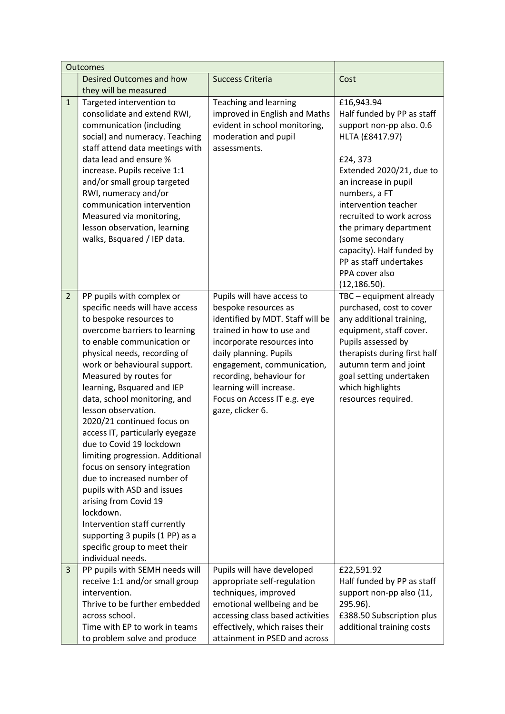|                | Outcomes                                                                                                                                                                                                                                                                                                                                                                                                                                                                                                                                                                                                                                                                                                                         |                                                                                                                                                                                                                                                                                                                     |                                                                                                                                                                                                                                                                                                                                                                    |
|----------------|----------------------------------------------------------------------------------------------------------------------------------------------------------------------------------------------------------------------------------------------------------------------------------------------------------------------------------------------------------------------------------------------------------------------------------------------------------------------------------------------------------------------------------------------------------------------------------------------------------------------------------------------------------------------------------------------------------------------------------|---------------------------------------------------------------------------------------------------------------------------------------------------------------------------------------------------------------------------------------------------------------------------------------------------------------------|--------------------------------------------------------------------------------------------------------------------------------------------------------------------------------------------------------------------------------------------------------------------------------------------------------------------------------------------------------------------|
|                | Desired Outcomes and how<br>they will be measured                                                                                                                                                                                                                                                                                                                                                                                                                                                                                                                                                                                                                                                                                | <b>Success Criteria</b>                                                                                                                                                                                                                                                                                             | Cost                                                                                                                                                                                                                                                                                                                                                               |
| $\mathbf{1}$   | Targeted intervention to<br>consolidate and extend RWI,<br>communication (including<br>social) and numeracy. Teaching<br>staff attend data meetings with<br>data lead and ensure %<br>increase. Pupils receive 1:1<br>and/or small group targeted<br>RWI, numeracy and/or<br>communication intervention<br>Measured via monitoring,<br>lesson observation, learning<br>walks, Bsquared / IEP data.                                                                                                                                                                                                                                                                                                                               | Teaching and learning<br>improved in English and Maths<br>evident in school monitoring,<br>moderation and pupil<br>assessments.                                                                                                                                                                                     | £16,943.94<br>Half funded by PP as staff<br>support non-pp also. 0.6<br>HLTA (£8417.97)<br>£24,373<br>Extended 2020/21, due to<br>an increase in pupil<br>numbers, a FT<br>intervention teacher<br>recruited to work across<br>the primary department<br>(some secondary<br>capacity). Half funded by<br>PP as staff undertakes<br>PPA cover also<br>(12, 186.50). |
| $\overline{2}$ | PP pupils with complex or<br>specific needs will have access<br>to bespoke resources to<br>overcome barriers to learning<br>to enable communication or<br>physical needs, recording of<br>work or behavioural support.<br>Measured by routes for<br>learning, Bsquared and IEP<br>data, school monitoring, and<br>lesson observation.<br>2020/21 continued focus on<br>access IT, particularly eyegaze<br>due to Covid 19 lockdown<br>limiting progression. Additional<br>focus on sensory integration<br>due to increased number of<br>pupils with ASD and issues<br>arising from Covid 19<br>lockdown.<br>Intervention staff currently<br>supporting 3 pupils (1 PP) as a<br>specific group to meet their<br>individual needs. | Pupils will have access to<br>bespoke resources as<br>identified by MDT. Staff will be<br>trained in how to use and<br>incorporate resources into<br>daily planning. Pupils<br>engagement, communication,<br>recording, behaviour for<br>learning will increase.<br>Focus on Access IT e.g. eye<br>gaze, clicker 6. | TBC - equipment already<br>purchased, cost to cover<br>any additional training,<br>equipment, staff cover.<br>Pupils assessed by<br>therapists during first half<br>autumn term and joint<br>goal setting undertaken<br>which highlights<br>resources required.                                                                                                    |
| 3              | PP pupils with SEMH needs will<br>receive 1:1 and/or small group<br>intervention.<br>Thrive to be further embedded<br>across school.<br>Time with EP to work in teams<br>to problem solve and produce                                                                                                                                                                                                                                                                                                                                                                                                                                                                                                                            | Pupils will have developed<br>appropriate self-regulation<br>techniques, improved<br>emotional wellbeing and be<br>accessing class based activities<br>effectively, which raises their<br>attainment in PSED and across                                                                                             | £22,591.92<br>Half funded by PP as staff<br>support non-pp also (11,<br>295.96).<br>£388.50 Subscription plus<br>additional training costs                                                                                                                                                                                                                         |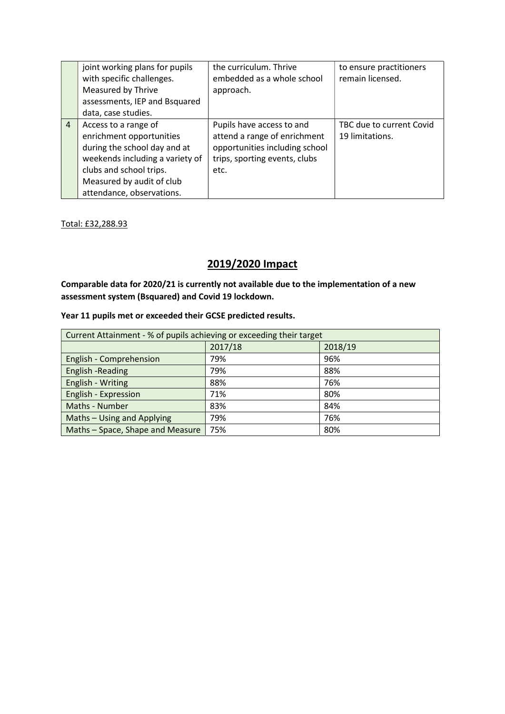|                | joint working plans for pupils<br>with specific challenges.<br>Measured by Thrive<br>assessments, IEP and Bsquared<br>data, case studies.                                                                | the curriculum. Thrive<br>embedded as a whole school<br>approach.                                                                    | to ensure practitioners<br>remain licensed. |
|----------------|----------------------------------------------------------------------------------------------------------------------------------------------------------------------------------------------------------|--------------------------------------------------------------------------------------------------------------------------------------|---------------------------------------------|
| $\overline{4}$ | Access to a range of<br>enrichment opportunities<br>during the school day and at<br>weekends including a variety of<br>clubs and school trips.<br>Measured by audit of club<br>attendance, observations. | Pupils have access to and<br>attend a range of enrichment<br>opportunities including school<br>trips, sporting events, clubs<br>etc. | TBC due to current Covid<br>19 limitations. |

Total: £32,288.93

## 2019/2020 Impact

Comparable data for 2020/21 is currently not available due to the implementation of a new assessment system (Bsquared) and Covid 19 lockdown.

## Year 11 pupils met or exceeded their GCSE predicted results.

| Current Attainment - % of pupils achieving or exceeding their target |         |         |  |  |
|----------------------------------------------------------------------|---------|---------|--|--|
|                                                                      | 2017/18 | 2018/19 |  |  |
| English - Comprehension                                              | 79%     | 96%     |  |  |
| English -Reading                                                     | 79%     | 88%     |  |  |
| English - Writing                                                    | 88%     | 76%     |  |  |
| English - Expression                                                 | 71%     | 80%     |  |  |
| Maths - Number                                                       | 83%     | 84%     |  |  |
| Maths - Using and Applying                                           | 79%     | 76%     |  |  |
| Maths - Space, Shape and Measure                                     | 75%     | 80%     |  |  |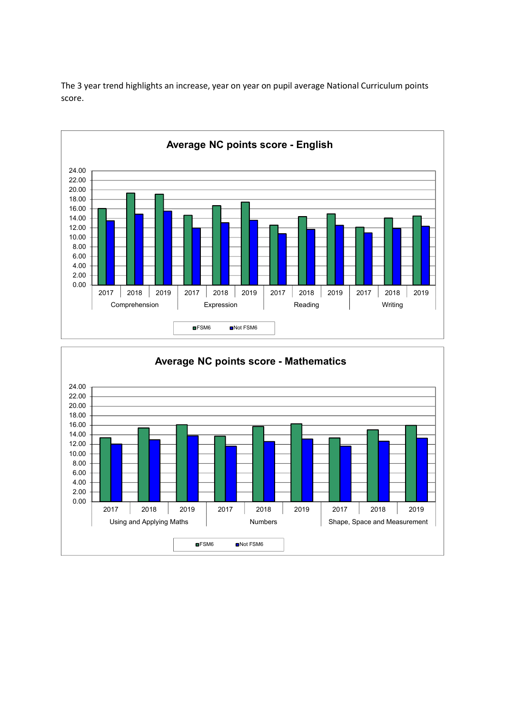

The 3 year trend highlights an increase, year on year on pupil average National Curriculum points score.

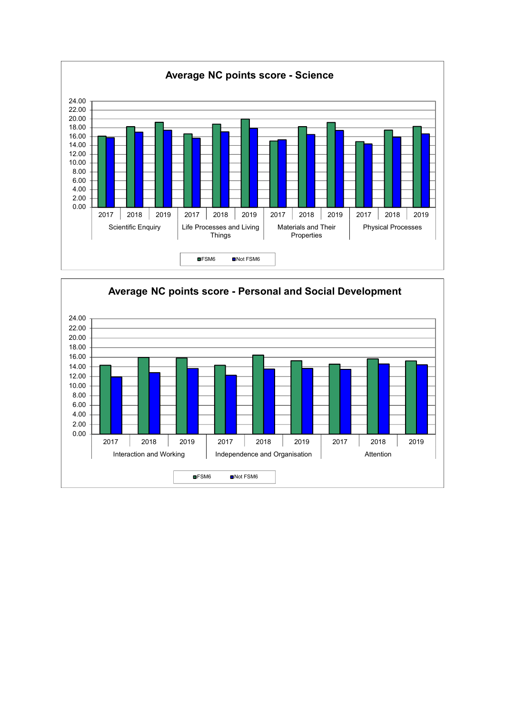